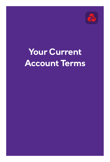

# **Your Current Account Terms**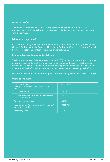#### **About this leaflet**

This leaflet is also available in Braille, large print and on audio tape. Please visit **[natwest.com](http://natwest.com)** or ask at any branch for a copy of our leaflet 'Our services for customers with disabilities'.

#### **Who are our regulators?**

We're authorised by the Prudential Regulation Authority and regulated by the Financial Conduct Authority and the Prudential Regulation Authority. We're entered on the Financial Services Register and our firm reference number is 121878.

#### **Financial Services Compensation Scheme**

The Financial Services Compensation Scheme (FSCS) can pay compensation to customers if they're eligible and a bank is unable to pay a claim against it, usually if the bank stops trading or is insolvent. Compensation limits apply depending on the type of claim. We're a member of the FSCS and our personal current accounts are covered by the FSCS.

For further information about the compensation provided by FSCS, please visit **[fscs.org.uk](https://www.fscs.org.uk/)**

#### **Useful phone numbers**

| <b>Telephone Banking</b><br>(for general queries and to make payments from your<br>account) | 03457888444   |
|---------------------------------------------------------------------------------------------|---------------|
| If your debit card is lost or stolen                                                        | 0370 600 0459 |
| If you suspect fraud or you think someone knows<br>your security details                    | 0345 300 3983 |
| If you want to make a complaint                                                             | 0800 151 0401 |
| If you want to talk to us about any difficulties you're<br>having with your finances        | 0800 161 5921 |
| <b>Emergency Cash</b>                                                                       | 01268 500 813 |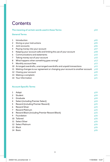# **Contents**

|             | The meaning of certain words used in these Terms                               | p04 |
|-------------|--------------------------------------------------------------------------------|-----|
|             | General Terms                                                                  |     |
| $\mathbf 1$ | Introduction                                                                   | p05 |
| 2           | Giving us your instructions                                                    | p05 |
| 3           | Joint accounts                                                                 | p06 |
| 4           | Paying money into your account                                                 | p07 |
| 5           | Keeping your account safe and limiting the use of your account                 | p08 |
| 6           | Communications and statements                                                  | p10 |
| 7           | Taking money out of your account                                               | p10 |
| 8           | What happens when something goes wrong?                                        | p13 |
| 9           | Monthly account fees                                                           | p15 |
|             | 10 Arranged overdrafts, unarranged overdrafts and unpaid transactions          | p15 |
|             | 11 Making changes to our agreement or changing your account to another account | p18 |
|             | 12 Closing your account                                                        | p20 |
|             | 13 Making a complaint                                                          | p21 |
|             | 14 Your Information                                                            | p21 |
|             |                                                                                |     |

# **Account Specific Terms**

| 1  | Adapt                                         | p24 |
|----|-----------------------------------------------|-----|
| 2  | Student                                       | p24 |
| 3  | Graduate                                      | p24 |
| 4  | Select (including Premier Select)             | p24 |
| 5  | Reward (including Premier Reward)             | p25 |
| 6  | <b>Reward Silver</b>                          | p25 |
| 7  | <b>Reward Platinum</b>                        | p25 |
| 8  | Reward Black (including Premier Reward Black) | p25 |
| 9  | Foundation                                    | p26 |
|    | 10 Tailored                                   | p26 |
|    | 11 Select Silver                              | p26 |
|    | 12 Select Platinum                            | p26 |
|    | 13 Black                                      | p26 |
| 14 | <b>Basic</b>                                  | p26 |
|    |                                               |     |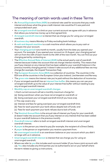# The meaning of certain words used in these Terms

- An **Annual Equivalent Rate (AER)** is a notional rate used for accounts that pay credit interest and shows what the gross credit interest rate would be if it was paid and compounded each year.
- An **arranged overdraft** is a limit on your current account we agree with you in advance that allows you to borrow money up to that agreed limit.
- **Arranged overdraft interest** is interest that we charge you for using your arranged overdraft.
- A **business day** means Monday to Friday excluding bank holidays.
- A **cash and deposit machine** is a cash machine which allows you to pay cash or cheques into your account.
- Your **charging period** runs month to month, usually from the date you opened your account. For example, if you opened your account on 15 August, your charging period will run from the 15th of each month to the 14th of the next month. You can find out your charging period by contacting us.
- The **Effective Annual Rate of Interest (EAR)** is the actual yearly cost of overdraft interest because it takes into account that we charge interest monthly. This means that you'll pay interest on any interest that has been added to your overdraft balance in the previous monthly charging period. It doesn't take account of any additional fees we may charge (for example, the Unpaid Transaction Fee).
- The **European Economic Area (EEA)** is a collection of countries. The countries in the EEA are all the countries in the European Union plus Iceland, Liechtenstein and Norway.
- The **gross rate** means the interest rate you're paid without the deduction of income tax.
- If your arranged overdraft has an **interest free buffer**, this means you can use your arranged overdraft up to the value of your interest free buffer without needing to pay any arranged overdraft interest.
- **Monthly cap on unarranged overdraft charges**

1.Each current account will set a monthly maximum charge for:

- (a) Going overdrawn when you have not arranged an overdraft; or
- (b) Going over/past your arranged overdraft limit (if you have one).

2.This cap covers any:

- (a) Interest and fees for going over/past your arranged overdraft limit;
- (b) Fees for each payment your bank allows despite lack of funds; and
- (c) Fees for each payment your bank refuses due to lack of funds.
- The **Nominal Annual Rate** is the annual rate of interest you'll pay for your overdraft, (it doesn't take into account that you'll pay interest on any interest that has been added to your overdraft balance in the previous month).
- **Overdraft interest** refers to both arranged overdraft interest and unarranged overdraft interest.
- A **payee** is the person you intend to pay (for example, the recipient of a Direct Debit).
- A **payer** is the person or organisation you receive a payment from.
- An **unarranged overdraft** is an overdrawn balance on your account which you didn't arrange with us in advance.
- **Unarranged overdraft interest** is interest that we charge you for using an unarranged overdraft.
- Where we refer to **you** this includes each account holder (if you have a joint account with us). **You** also includes any third parties you've authorised to act on your behalf where the term relates to giving us instructions.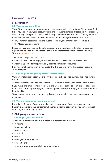# General Terms

# **1 Introduction**

#### **1.1 Your agreement with us**

These Terms form part of the agreement between you and us (the National Westminster Bank Plc). They explain how your account works and set out the rights and responsibilities that each of us has regarding your account. The following documents also form part of our agreement:

- any benefit terms which apply to your account (including the MyRewards Terms);
- any overdraft agreement setting out the terms of your arranged overdraft; and
- the Mobile Banking Terms.

Please ask us if you need up-to-date copies of any of the documents which make up our agreement. You can also find these Terms, our benefit terms and the Mobile Banking Terms at **[natwest.com](http://natwest.com)**

The Terms are split into two parts:

- General Terms (which apply to all accounts unless we tell you otherwise); and
- Account Specific Terms (which only apply to particular accounts).

If an Account Specific Term is inconsistent with a General Term, the Account Specific Term will apply.

#### **1.2 Opening and using your personal current account**

Our personal current accounts are only available to be opened by individuals resident in the UK.

Your account is designed to be used in the UK and must not be used for business purposes.

If you move and are no longer resident in the UK, please tell us as soon as possible as this may affect our ability to keep your account open or to keep offering you the same account functionality.

You must not use your account for any illegal purpose, which includes tax evasion, or to avoid tax.

#### **1.3 The law that applies to your agreement**

If you live in Scotland, Scots law applies to this agreement. If you live anywhere else, English law applies to this agreement. If there's a dispute between us, you can take legal action against us in any UK court.

#### **2 Giving us your instructions**

#### **2.1 Giving us your instructions**

You can give us instructions in a number of different ways including:

- in writing
- by cash machine
- by telephone
- in branch
- online
- using your mobile device
- by debit card
- or by any other means we tell you are available.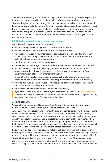This may include asking you to take extra steps (for example, entering a one-time passcode that we send you or using biometric data such as a fingerprint) to authorise transactions.

You can also give instructions through third parties you've authorised to act on your behalf, for example powers of attorney and third party providers (like account aggregator services).

If you ask us to make a payment (including standing orders and other regular payment instructions set up on your account) and the payee has switched accounts using the Current Account Switch Service, we'll update the account details of the payee on your payment instruction.

#### **2.2 Delaying or refusing to act on your instructions**

We'll always follow your instructions, unless:

- we reasonably believe that you didn't authorise the instruction;
- we reasonably suspect the instruction is for an illegal purpose;
- we reasonably suspect your instruction is connected to a scam, fraud or any other crime, or we reasonably consider that your instruction is of a type where there is a high risk of there being such a connection;
- your instructions are unclear or incomplete;
- you request an unarranged overdraft and we refuse the payment due to lack of funds;
- we reasonably suspect that following your instruction may mean that we breach a law or regulation with which we must comply or may expose us to action from a government, regulator or law enforcement agency;
- a restriction that applies to your account stops us from following your instruction (for example, the instruction exceeds the daily payment limits set on your account);
- we're told about a dispute between joint account holders, which means the account can't be used until the dispute is resolved; or
- you've broken any term of our agreement in a serious way.
- If you'd like to know why we didn't follow your instruction you can call us on **03457 888 444**. If we can, we'll explain why we didn't follow your instruction unless there's a legal or security reason which means we can't provide an explanation.

#### **3 Joint accounts**

You can have a maximum of two account holders on a Select Silver, Reward Silver, Select Platinum, Reward Platinum, Black or Reward Black account.

Any one of you can discuss your account with us or give us instructions (without the consent of the other account holder(s)). This includes instructions to withdraw all of the money in your account or close your account. If you don't want your account to work in this way, any one of you can tell us that we can only accept instructions from all of you acting together. After this happens, all instructions must be in writing and signed by all of you. This means that you won't be able to use our telephone, mobile or online banking services, or use a debit card as these services rely on us being able to accept instructions from just one of you.

If you want to add or remove an account holder on an account, you must all agree to this. Where a joint account holder is the victim of financial abuse we may agree to a request from them to be removed from an account without the agreement of the other account holder(s).

You're all responsible to pay back any overdraft on your account. This means that we can ask all or just one of you to repay the full amount of any money you owe us and not just a share. This applies even if you're unaware that an overdraft has been used on your account.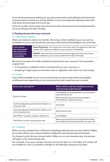If you all live at the same address (or you give us the same email address) we'll send joint communications to all of you at that address. If you live at separate addresses then we'll only send communications to one of you.

If one of you dies, we'll accept instructions from the remaining account holder(s) and the account will pass into their name(s).

## **4 Paying money into your account**

#### **4.1 Electronic transfers**

When we receive an electronic transfer, the money will be credited to your account (i.e. available for you to use and will start earning credit interest (if payable)) on the same day.

**If we receive the money (and instructions to pay it into your account) by: Faster Payments**, we'll check the instruction and if we approve it then the money will usually be credited to your account immediately. **CHAPS**, we'll check the instruction and if we approve it then the money will be credited to your account within 90 minutes of receipt.

We may not accept and credit an electronic payment to your account if we reasonably suspect that:

- it's fraudulent or related to other criminal activity on your account; or
- accepting it might cause us to breach a law or regulation with which we must comply.

#### **4.2 Cash**

Cash will be available for you to use and will start earning credit interest (if payable) at different times depending on how and when the cash is paid into your account:

| How is the cash paid in?                                          | When will the cash be available to use and<br>start earning credit interest?                                                                      |
|-------------------------------------------------------------------|---------------------------------------------------------------------------------------------------------------------------------------------------|
| Branch counter                                                    | Immediately (if received within normal branch<br>opening hours); or<br>Next business day (if received outside of<br>normal branch opening hours). |
| Cash and deposit machine before 3:30pm on<br>a business day       | Same day                                                                                                                                          |
| Cash and deposit machine after 3:30pm or on<br>a non-business day | Next business day                                                                                                                                 |
| Post Office® counter using your debit card                        | Immediately                                                                                                                                       |
| Post Office counter using a pay-in slip                           | When we receive the cash from the Post Office<br>(normally two business days after you pay it in)                                                 |

#### **4.3 Cheques**

When you pay a cheque from a UK bank or building society into your account before 3:30pm, the money will be in your account before 11:59pm the next business day at the latest.

If a cheque is paid into your account after 3:30pm or on a non-business day, this process will begin on the next business day.

For example, if you pay a cheque into your account at 4pm on a Thursday, the money will *be available for you to use before midnight on the Monday evening at the latest.*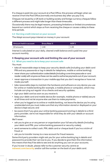If a cheque is paid into your account at a Post Office, this process will begin when we receive it from the Post Office (normally one business day after you pay it in).

Cheques not issued by a UK bank or building society and foreign currency cheques follow a different process and might take longer than these timescales.

Occasionally there may be legal reasons, processing limitations or limited circumstances beyond our control which stops us from receiving the cheque or causes a delay to these time periods.

#### **4.4 Earning credit interest on your account**

The Adapt account pays interest on money in your account:

| Amount held in account | <b>Gross Rate %</b> | AER % |
|------------------------|---------------------|-------|
| All amounts            | 1.00                | 1.00  |

Interest is calculated on your daily, cleared credit balance and is paid into your account monthly.

## **5 Keeping your account safe and limiting the use of your account**

#### **5.1 What you need to do to keep your account safe**

You must:

- take all reasonable steps to keep your security details safe (including your debit card PIN and any passwords or log-in details for telephone, mobile or online banking);
- never share your authentication codes/details (including a one time passcode or card reader code) with anyone as these can be used to authorise payments out of your account;
- never approve a transaction in your mobile app that you don't recognise or have not made yourself;
- take reasonable steps to maintain the hardware and software on any device you use for online or mobile banking (for example, a mobile phone or computer), which may include carrying out regular virus checks and security updates;
- sign your debit card as soon as you receive it;
- keep your debit card and mobile device (for example, mobile phone or tablet) secure at all times and not let anyone else use them to make payments;
- when you're logged on to online or mobile banking, not leave the device you're using unattended and you must make sure that any information stored or displayed on your device is kept secure; and
- be aware that if you give your online banking password and log in details to a third party provider, we're not responsible for what they do with your details or account information.

We'll never:

- ask you to give us or any person or organisation your full security details (including your debit card PIN, your online banking password or security codes);
- send someone to collect cash, PIN, debit card or cheque book if you're a victim of fraud; or
- ask you to transfer money to a new account for fraud reasons.

Some third party providers might ask you for your online banking log in details and password to provide their service to you. If you decide to give them this information, this means that they'll be able to see and do anything you can on your accounts.

If you're ever in doubt, please refer to the customer security centre at **[natwest.com/security](http://natwest.com/security)** and/or call the number on the back of your debit card.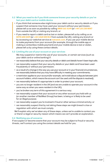#### **5.2 What you need to do if you think someone knows your security details or you've lost your debit card or mobile device**

- If you think that someone else might know your debit card or security details or if you suspect that someone may have used your account without your permission, please tell us as soon as possible by calling **0800 161 5149** (or **+44 125 230 8047** from outside the UK) or visiting any branch; or
- If you need to report a debit card as lost or stolen, please tell us by calling us on **0370 600 0459** (or **+44 1268 500 813** from outside the UK), visiting any branch or by accessing our webchat service at **[natwest.com](http://natwest.com)**. If you use your mobile device to make payments from your account (for example, through the mobile app or making a contactless mobile payment) and your mobile device is lost or stolen, please tell us by using these contact details.

#### **5.3 Limiting the use of your account or your services**

 We may suspend or restrict the use of your accounts, or certain services (such as your debit card or online banking) if:

- we reasonably believe that your security details or debit card details haven't been kept safe;
- we reasonably suspect that your security details or your debit card have been used fraudulently or without your permission;
- as a result of a change in the way you use your account or in your financial circumstances, we reasonably believe that you may have difficulty in meeting your commitments;
- a restriction applies to your account (for example, we're told about a dispute between joint account holders, which means the account can't be used until the dispute is resolved);
- we reasonably believe it's appropriate in order to protect your account;
- you are no longer resident in the UK (and we are unable to operate your account in the same way as when you were resident in the UK);
- you've broken any term of this agreement in a serious way;
- we reasonably suspect that your account or any other account you hold with us (or another member of NatWest Group) has been, is being or is likely to be used for an illegal purpose;
- we reasonably suspect you're involved in fraud or other serious criminal activity; or
- we reasonably suspect that by not taking these steps we might breach a law or regulation with which we must comply.

 We'll explain why we've taken any of these steps, unless we're unable to contact you or there's a legal or security reason which means we can't provide an explanation.

#### **5.4 Notifying you of concerns**

If we suspect or become aware that your account may be subject to fraud or security threats, we'll contact you using the contact details we hold for you.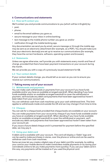## **6 Communications and statements**

#### **6.1 How we'll contact you**

We'll contact you and provide communications to you (which will be in English) by:

- post;
- phone;
- email to the email address you gave us;
- secure message to your inbox in online banking;
- text message to the mobile phone number you gave us; and/or
- notification through the mobile banking app.

Any documentation we send you by email, secure message or through the mobile app may be sent as an electronic attachment (for example, as a PDF). You should make sure that your electronic device(s) are set up to receive our communications (for example, they have the correct hardware, software, operating system and browser).

#### **6.2 Statements**

Unless we agree otherwise, we'll provide you with statements every month and free of charge, provided that there have been payment transactions on your account during the month.

We can provide you with a copy of a previously issued statement for **£3**.

#### **6.3 Your contact details**

If your contact details change, you should tell us as soon as you can to ensure you receive our communications.

# **7 Taking money out of your account**

#### **7.1 Withdrawals and payments**

You can make cash withdrawals or payments from your account if you have funds available and/or you have an available arranged overdraft. When deciding if you have funds available and/or an available arranged overdraft to cover the withdrawal or payment, we'll exclude any debit card payments that have been approved but haven't been taken from your account yet.

You can withdraw cash from cash machines up to your cash withdrawal limit. This limit applies to withdrawals inside and outside the UK and we may change it from time to time.

#### **7.2 Cheques**

You can ask for a cheque book provided that cheque books are available on your account. You can make payments from your account by cheque if you have funds available and/or you have an available arranged overdraft. When deciding if you have funds available and/or an available arranged overdraft to cover the withdrawal or payment, we'll exclude any debit card payments that have been approved but haven't been taken from your account yet.

If you issue a future dated cheque and it's presented for payment before the specified date, we may pay it.

#### **7.3 Using your debit card**

A debit card is available with your account. The card will display a 'Debit' logo and can be used to make purchases in stores, over the phone or online and can be used to withdraw cash from cash machines.

Some services let you create a digital copy of your debit card (for example, by adding your card to your mobile device to make contactless mobile payments or by saving your card details online to let you make payments more quickly). If you use your debit card in this way, any payments will be treated as if you used the physical card.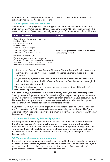When we send you a replacement debit card, we may issue it under a different card scheme (for example, Visa or Mastercard).

#### **7.4 Charges for using your debit card**

Sometimes we'll charge you fees for using your debit card to access your money or to make payments. We've explained these fees and when they'll be charged below, but this doesn't include any fees a third party might charge you (for example, a cash machine fee):

| Using your debit card                                                                                                                                                                                          | <b>Charges</b>                                                        |
|----------------------------------------------------------------------------------------------------------------------------------------------------------------------------------------------------------------|-----------------------------------------------------------------------|
| Cash withdrawals in a foreign currency;<br>Inside the UK:<br>- from a cash machine<br><b>Outside the UK:</b><br>- from a cash machine; or<br>- purchase of currency; or<br>- purchase of travellers' cheques   | Non-Sterling Transaction Fee of 2.75% of the<br>value of the payment. |
| Inside or outside the UK:<br>Payments made in a foreign currency.<br>(For example, purchasing goods in a shop while<br>you're on holiday, which includes any cashback<br>requested as part of the transaction) |                                                                       |

- If you have a Reward Silver, Reward Platinum, Black or Reward Black account, you won't be charged Non-Sterling Transaction Fees for payments made in a foreign currency.
- If you make a payment outside the UK or in a foreign currency and you receive a refund of that payment, the Non-Sterling Transaction Fee charged for the original payment won't be refunded.

 Where a fee is shown as a percentage, this means a percentage of the value of the transaction in pounds Sterling.

We'll convert any payment made in a foreign currency using your debit card into pounds Sterling using the Payment Scheme Exchange Rate (the rate provided by Visa, Mastercard or any other payment scheme) at the time the payment is taken from your account. If you'd like to see the most up-to-date exchange rates you can visit the website of the payment scheme shown on your card (for example, Mastercard or Visa).

If you'd like to view our currency charge with reference to the daily rate which is issued by the European Central Bank, you can visit [natwest.com/usingmycardabroad](http://natwest.com/usingmycardabroad). The figures displayed on that page change daily and are simply to help you compare our fees with other banks across Europe.

#### **7.5 Timescales for making debit card payments**

We'll only take a debit card payment from your account when we receive the request from the payee's bank (for example, the store). This means there may be a delay between using your debit card to make a purchase and the payment being taken from your account. We'll always take payments that have been charged to your debit card from your account and we'll do so within one business day of receiving the request for payment.

#### **7.6 Timescales for making other payments**

If you tell us to make a payment (i.e. send money) in the UK, in most cases the payment will be made using the Faster Payments Service and the money will be added to the payee's account immediately. In limited circumstances (for example, if we suspect fraud), the payment may take longer to reach the payee's account.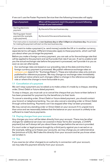If we can't use the Faster Payments Service then the following timescales will apply:

| <b>Type of payment</b>                                           | When will the payment reach the payee's account following<br>receipt of your instruction? |
|------------------------------------------------------------------|-------------------------------------------------------------------------------------------|
| Sterling electronic<br>payment                                   | By the end of the next business day                                                       |
| Sterling paper-based<br>payment (for example,<br>a giro payment) | By the end of the second business day                                                     |

If an instruction is received on a **non-business day or after 3:30pm on a business day**, the process for making the payment will start on the next business day.

If you want to make a payment (i.e. send money) outside the UK or in another currency, separate terms will apply. Different timescales apply to these payments, which we'll tell you about when you arrange the payment.

Before you make a foreign currency payment, you can ask us for the exchange rate that will be applied to the payment and we'll provide that rate if we can. If we're unable to tell you the actual exchange rate before the payment is processed, we'll provide it to you as soon as we can afterwards.

Our exchange rates are based on our prevailing rate at the date and time that a foreign currency payment is processed. We publish reference exchange rates on **[natwest.com](http://natwest.com)** (search for "Exchange Rates"). These are indicative rates only and are published for reference purposes. We may change our exchange rates immediately and without notice where such changes reflect a change in the reference exchange rate or where the change is more favourable to you.

#### **7.7 Cancellation of a payment**

We can't stop a payment you've asked us to make unless it's made by a cheque, standing order, Direct Debit or future dated payment.

To stop a cheque, you must ask us to cancel the cheque that you have written before it has been presented for payment by the beneficiary to their bank.

To cancel a standing order, Direct Debit or future dated payment, you should contact your branch or telephone banking. You can also cancel a standing order or Direct Debit through online banking. Payments can't be stopped after they've been processed.

We may cancel any standing order or Direct Debit on your account if it's unpaid more than once and we reasonably believe that the balance on your account is unlikely to be sufficient to meet future payments.

#### **7.8 Paying charges from your account**

Any charges you incur will be taken directly from your account. There may be other charges for additional services not covered in these Terms (for example, a CHAPS payment) but we'll always tell you about these charges before the service is provided. If a court order or legal process brought by a third party against you is served on us (for example, telling us to freeze your account), we may charge you an administrative fee (minimum of £25). We'll take this directly from your account and let you know when we've taken it.

#### **7.9 Tax**

If you owe tax (or other charges) to an authority in connection with your account, we may take this payment directly from your account.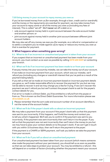#### **7.10 Using money in your account to repay money you owe us**

If you've borrowed money from us (for example, through a loan, credit card or overdraft) and the money or the repayments are overdue for payment, we may take money from your account to repay some or all of the money you owe us (including any fees or interest). This is called "set off". We'll **never** set off a debt on a:

- sole account against money held in a joint account between the sole account holder and another person; or
- joint account against money held in another joint account between different joint account holders.

We may also set off any money we owe you (for example, as a refund or compensation or to settle a complaint you've made against us) to repay or reduce any money you owe us that is overdue for payment.

#### **8 What happens when something goes wrong?**

#### **8.1 What to do if an incorrect or unauthorised payment is taken from your account**

If you suspect that an incorrect or unauthorised payment has been made from your account, you must contact us as soon as possible by calling **0370 600 0459** or contacting your branch.

#### **8.2 What we'll do if an incorrect payment has been made to or from your account**

If we pay money into your account by mistake, we can take the money out of your account.

If we make an incorrect payment from your account, which was our mistake, we'll refund you (including any charges or overdraft interest that you've paid as a result of the payment being taken).

If you tell us that we've made an incorrect payment based on incorrect payment details you gave us, we'll make reasonable efforts to recover the payment for you but we may not be able to recover it and we may charge you a fee for trying. If we can't recover the payment we won't refund you but we'll contact the payee's bank to ask for the payee's contact details for you.

If an error is made in a Direct Debit, you'll be entitled to a refund from the payee or from us. This is known as the Direct Debit Guarantee. For more information please see **[directdebit.co.uk](http://directdebit.co.uk)**

Please remember that the sort code and account number of an account identifies it, not the name of the account holder.

#### **8.3 What we'll do if the payer's bank tells us about an incorrect payment**

We may take a payment from your account if the payer's bank tells us that this payment was sent to you incorrectly. If this happens, we'll hold the money and contact you to tell you what's happened. We'll ask you to confirm if the payment was sent to you incorrectly. If the payment was sent incorrectly then we'll return it to the payer. If you tell us that the payment was not sent incorrectly then we'll return the money to you but we may have to pass your contact details on to the payer's bank. If we can't get in touch with you within 15 business days, then we'll return the payment to the payer.

If the payment is a CHAPS or SEPA payment, we'll ask you before we take the payment from your account.

#### **8.4 What we'll do if you tell us about an unauthorised payment**

If an unauthorised payment has been taken from your account (which means someone else made the payment without your permission), you should tell us as soon as possible so that we can take steps to protect your account. You may be entitled to a refund – this will depend on a number of factors (including whether the payment meant your account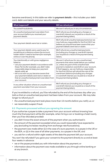became overdrawn). In this table we refer to **payment details** – this includes your debit card, debit card details and your security details.

| <b>What happened?</b>                                                                                                                                                                                                                                                                                                                                                             | Will we refund you?                                                                                                                                                                                                                                                                                                                                                                                                   |
|-----------------------------------------------------------------------------------------------------------------------------------------------------------------------------------------------------------------------------------------------------------------------------------------------------------------------------------------------------------------------------------|-----------------------------------------------------------------------------------------------------------------------------------------------------------------------------------------------------------------------------------------------------------------------------------------------------------------------------------------------------------------------------------------------------------------------|
| You acted fraudulently                                                                                                                                                                                                                                                                                                                                                            | We won't refund you in any circumstances.                                                                                                                                                                                                                                                                                                                                                                             |
| An unauthorised payment was taken from<br>your account before you received your<br>payment details.                                                                                                                                                                                                                                                                               | We'll refund you (including any charges or<br>overdraft interest you've paid as a result of the<br>payment being taken).                                                                                                                                                                                                                                                                                              |
| Your payment details were lost or stolen.                                                                                                                                                                                                                                                                                                                                         | We'll refund all unauthorised payments but we<br>may hold you responsible for the first £35 if we<br>believe you should have been aware that your<br>payment details were lost or stolen.                                                                                                                                                                                                                             |
| Your payment details were used to pay for<br>something at a distance where the account<br>holder doesn't need to be there (for example,<br>online or over the phone).                                                                                                                                                                                                             | We'll refund any unauthorised payments<br>(including any charges or overdraft interest<br>you've paid as a result of the payment being<br>taken).                                                                                                                                                                                                                                                                     |
| You intentionally or with gross negligence<br>failed to:<br>• use your payment details in accordance with<br>these Terms (for example, you didn't take<br>reasonable steps to keep your payment<br>details safe); or<br>• tell us as soon as you became aware that<br>your payment details were lost or stolen or<br>that an unauthorised payment was taken from<br>your account. | We won't refund you for any unauthorised<br>payments that were made before you notified<br>us, unless any part of the unauthorised<br>payment created an overdraft on your account.<br>If that happens, we can hold you responsible<br>for the first £35 but will refund the rest of the<br>overdrawn balance (including any charges<br>or overdraft interest you've paid as a result of<br>the payment being taken). |
| In any other situation where an unauthorised<br>payment was taken from your account.                                                                                                                                                                                                                                                                                              | We'll refund you (including any charges or<br>overdraft interest you've paid as a result of the<br>payment being taken).                                                                                                                                                                                                                                                                                              |

If you're entitled to a refund, you'll be refunded by the end of the business day after you told us that an unauthorised payment had been taken from your account. We may take longer to refund you if:

- the unauthorised payment took place more than 13 months before you notify us; or
- we reasonably suspect fraud.

#### **8.5 Payments processed without you agreeing the amount**

If you authorise a payee to take a payment from your account without knowing how much the final payment will be (for example, when hiring a car or booking a hotel room), then you'll be refunded provided:

- you didn't know the exact amount of the payment when you authorised it;
- the amount of the payment exceeded what you could reasonably have expected to pay (excluding increases resulting from exchange rate fluctuations);
- the payment was made either (i) in the case of a euro payment, to a payee in the UK or the EEA, or (ii) in the case of all other payments, to a payee in the UK; and
- you ask for a refund within eight weeks of the date the payment left your account.

You won't be refunded if you gave your consent to the payment directly to us and at least four weeks in advance:

- we or the payee provided you with information about the payment; or
- information about the payment was made available to you through online banking or at any branch.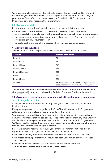We may ask you for additional information to decide whether you should be refunded. We'll refund you, or explain why we're refusing the refund, within 10 business days of your request for a refund or (if we've asked you for additional information) within 10 business days of us receiving that information.

## **8.6 Our general liability**

Except where the law doesn't permit, we won't be responsible for any losses:

- caused by circumstances beyond our control as the situation was abnormal or unforeseeable (for example, due to extreme weather, terrorist activity or industrial action);
- you suffer relating to loss of opportunity, loss of goodwill, loss of business or loss of profit arising in any circumstance; or
- we could not have reasonably predicted when you gave us an instruction.

# **9 Monthly account fees**

Some of our accounts charge a monthly account fee. These are set out below:

| <b>Account</b>         | <b>Monthly account fee</b>                                                                        |
|------------------------|---------------------------------------------------------------------------------------------------|
| Reward                 | £2                                                                                                |
| Select Silver          | £8                                                                                                |
| <b>Reward Silver</b>   | £10                                                                                               |
| Select Platinum        | £18                                                                                               |
| <b>Reward Platinum</b> | £20                                                                                               |
| <b>Black</b>           | £30                                                                                               |
| <b>Reward Black</b>    | £31                                                                                               |
| Student                | £10 for International Students who opened their<br>account between 5 August 2018 and 20 June 2021 |

The monthly account fee will be taken from your account 21 days after the end of your charging period (or the next business day if this is a Saturday, Sunday or bank holiday).

# **10 Arranged overdrafts, unarranged overdrafts and unpaid transactions 10.1 Arranged overdrafts**

Arranged overdrafts are available on request if you're 18 or over and you meet our lending criteria.

If we provide you with an arranged overdraft, we'll send you an overdraft agreement setting out its terms (including your arranged overdraft limit).

Your arranged overdraft is not for a fixed period of time, however it's **repayable on demand**. This means that we can ask you to repay the full amount at any time. We may also decide to reduce your arranged overdraft limit or end your overdraft agreement. We'll only take these steps if we have a valid reason (for example, we reasonably believe that you can't afford your arranged overdraft).

Before we demand repayment, reduce your arranged overdraft limit or end your agreement, we'll usually give you at least 30 days' notice, unless:

- you've broken any term of the agreement between you and us in a serious way;
- we reasonably suspect that your account has been used fraudulently or for illegal purposes; or
- we reasonably believe that you can't afford your arranged overdraft, in which case we may take these actions immediately.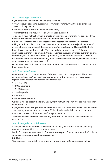#### **10.2 Unarranged overdrafts**

If you give us an instruction which would result in:

- your account becoming overdrawn (or further overdrawn) without an arranged overdraft in place; or
- your arranged overdraft limit being exceeded,

we'll treat this as a request for an unarranged overdraft.

To decide if your instruction would create an unarranged overdraft, we consider if you have funds available and/or you have an arranged overdraft.

We'll decide whether or not to accept your request for an unarranged overdraft, taking your financial circumstances into account, unless we must reject it because of a restriction on your account (for example, you've registered for Overdraft Control).

If we allow a payment despite lack of funds or available arranged overdraft (i.e. an unarranged overdraft to be created), this doesn't mean that your arranged overdraft limit has been changed or that we must allow any future payment that would have the same effect.

We will take overdraft interest and any of our fees from your account, even if this creates or increases an unarranged overdraft.

Unarranged overdrafts are repayable on demand, which means we can ask you to repay them at any time.

#### **10.3 Overdraft Control**

Overdraft Control is a service on our Select account. It's no longer available to new customers, but if you're already registered for Overdraft Control we'll automatically reject any request for an unarranged overdraft by:

- Direct Debit;
- BACS payment;
- CHAPS payment;
- standing order;
- cheque; or
- future dated payment.

We'll continue to accept the following payment instructions even if you're registered for Overdraft Control:

- payments made using your debit card where the retailer doesn't check with us, before accepting payment, that you have sufficient funds available in your account; and
- any fees or overdraft interest due from your account.

You can cancel Overdraft Control at any time. Your instruction will take effect by the next business day.

#### **10.4 Arranged overdraft interest**

Arranged overdraft interest is calculated on the daily overdrawn balance (including arranged overdraft interest) on your account.

We don't charge arranged overdraft interest on any part of an arranged overdraft balance which represents an Unpaid Transaction Fee.

#### **(a) Rates**

Your arranged overdraft interest rates and interest free buffers are set out below: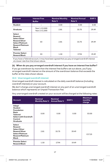| <b>Account</b>                                                                                                                                                 | <b>Interest Free</b><br><b>Buffer</b> | <b>Nominal Monthly</b><br>Rate % | <b>Nominal Annual</b><br>Rate % | EAR%  |
|----------------------------------------------------------------------------------------------------------------------------------------------------------------|---------------------------------------|----------------------------------|---------------------------------|-------|
| <b>Student</b>                                                                                                                                                 |                                       | 0.00                             | 0.00                            | 0.00  |
| Graduate                                                                                                                                                       | Year 1: £2,000<br>Year 2: £1,000      | 2.81                             | 33.75                           | 39.49 |
| <b>Select</b><br>Reward<br><b>Select Silver</b><br><b>Reward Silver</b><br><b>Select Platinum</b><br><b>Reward Platinum</b><br><b>Black</b><br><b>Tailored</b> | £0                                    | 2.81                             | 33.75                           | 39.49 |
| <b>Premier Select</b><br><b>Reward Black</b>                                                                                                                   | £0                                    | 1.50                             | 17.94                           | 19.49 |

If you have a Tailored account, it may have been agreed that you pay arranged overdraft interest at a lower rate than that shown above.

#### **(b) When do you pay arranged overdraft interest if you have an interest free buffer?**

If you go overdrawn by more than the interest free buffers set out above, you'll pay arranged overdraft interest on the amount of the overdrawn balance that exceeds the buffer at the rates shown above.

#### **10.5 Unarranged overdraft interest**

Unarranged overdraft interest is calculated on the daily overdraft balance (including overdraft interest) on your account.

We don't charge unarranged overdraft interest on any part of an unarranged overdraft balance which represents an Unpaid Transaction Fee.

Any unarranged overdraft created on your account will be charged at the following rates:

| <b>Account</b>                                                                                                                                | <b>Nominal</b><br><b>Monthly Rate %</b> Annual Rate % | <b>Nominal</b> | EAR%  | <b>Maximum</b><br>monthly<br>charge |
|-----------------------------------------------------------------------------------------------------------------------------------------------|-------------------------------------------------------|----------------|-------|-------------------------------------|
| Adapt<br><b>Student</b><br><b>Foundation</b><br><b>Basic</b><br><b>Tailored</b><br><b>Select with Overdraft</b><br>Control<br><b>Graduate</b> | 0.00                                                  | 0.00           | 0.00  | £0.00                               |
| <b>Select</b><br>Reward<br><b>Select Silver</b><br><b>Reward Silver</b><br><b>Select Platinum</b><br><b>Reward Platinum</b><br><b>Black</b>   | 2.81                                                  | 33.75          | 39.49 | £17.25                              |
| <b>Premier Select</b><br><b>Reward Black</b>                                                                                                  | 1.50                                                  | 17.94          | 19.49 |                                     |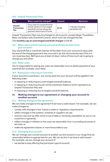#### **10.6 Unpaid Transaction Fees**

| Fee                                 | When could it be charged?                                                                                                   | Amount | <b>Maximum</b>                       |
|-------------------------------------|-----------------------------------------------------------------------------------------------------------------------------|--------|--------------------------------------|
| Unpaid<br><b>Transaction</b><br>Fee | If you instruct a payment that<br>would create an unarranged<br>overdraft and we refuse the<br>payment due to lack of funds | £2.15  | 1 fee per charging<br>period (£2.15) |

Unpaid Transaction Fees may be charged on all accounts, except Adapt, Foundation, Basic and Select with Overdraft Control, which won't be charged this fee.

The **monthly cap on unarranged overdraft charges** is £19.40.

#### **10.7 When will overdraft interest and overdraft fees be taken from your account?**

Any overdraft fee or overdraft interest will be taken from your account 21 days after the end of the charging period it was incurred in (or the next business day if this is a non-business day). We'll give you at least 14 days' notice of how much we're going to charge you and when.

#### **10.8 Other costs**

You're responsible for paying any costs we reasonably incur to obtain payment of your overdraft (for example, court fees).

#### **10.9 Repaying or reducing an overdraft**

If your account is overdrawn, any money paid into your account will be applied in the following order:

- in repaying or reducing any unarranged overdraft balance;
- in repaying or reducing any part of the overdrawn balance which represents an Unpaid Transaction Fee; and
- in repaying or reducing any arranged overdraft balance.

#### **11 Making changes to our agreement or changing your account to another account**

#### **11.1 Making changes to the agreement**

We can make changes to this agreement if we have a valid reason. For example, we can make changes to:

- comply with changes in law, industry codes or regulatory requirements;
- reflect changes in the systems, schemes or suppliers we use;
- remove a service we offer which is out of date or not being used (either by you or our customers in general);
- reflect changes in inflation or the costs we reasonably incur in providing accounts or services; or
- make the agreement clearer or more favourable to you.

#### **11.2 Changing your account**

We can change your current account to another current account in our range that we reasonably believe is appropriate for you. We can do this if we have a valid reason. For example, we can change your account if:

• we decide to stop offering that particular type of account;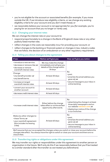- you're not eligible for the account or associated benefits (for example, if you move outside the UK, if we introduce new eligibility criteria, or we change any existing eligibility criteria for your account and you don't meet these); or
- we reasonably believe your account is not appropriate for you (for example, you're paying for an account that you no longer or rarely use).

#### **11.3 Changing your interest rates**

We can change the interest rate on your account to:

- respond proportionately to a change in the Bank of England's base rate or any other publicly listed market rate;
- reflect changes in the costs we reasonably incur for providing your account; or
- reflect changes to the banking or financial system or changes in law, industry codes that we follow, the decision of an ombudsman or any other regulatory requirement.

| If we:                                                                                                           | Notice we'll give you                                                                              | How we'll give you notice                                                                                                  |
|------------------------------------------------------------------------------------------------------------------|----------------------------------------------------------------------------------------------------|----------------------------------------------------------------------------------------------------------------------------|
| · introduce a new service;<br>• decrease or remove a fee; or<br>• decrease or remove<br>overdraft interest rates | We may make the change<br>immediately and will give you<br>details of the change within<br>30 days | By:<br>• post;<br>• email (to the email address you<br>gave us); or<br>• secure message to your inbox in<br>online banking |
| Change:<br>• any benefit provider; or<br>• any benefit terms                                                     | At least 30 days                                                                                   |                                                                                                                            |
| • increase arranged<br>overdraft interest rates                                                                  | At least 30 days                                                                                   |                                                                                                                            |
| • convert your account to<br>another account                                                                     | At least 60 days                                                                                   |                                                                                                                            |
| • decrease credit interest rates                                                                                 | At least 60 days                                                                                   |                                                                                                                            |

#### **11.4 Telling you about changes to the agreement**

| · increase credit interest rates                                                                                     | Either before the change<br>takes effect or at the earliest<br>opportunity afterwards. | By:<br>• advertising the change in at least<br>three daily newspapers and on<br>our website natwest.com; or<br>· displaying a notice of the change<br>in our branches |
|----------------------------------------------------------------------------------------------------------------------|----------------------------------------------------------------------------------------|-----------------------------------------------------------------------------------------------------------------------------------------------------------------------|
| Make any other changes to:<br>• these Terms; or<br>• your overdraft agreement<br>(this includes increasing<br>a fee) | At least 60 days                                                                       | By:<br>• post;<br>• email (to the email address you<br>gave us); or<br>• secure message to your inbox in<br>online banking                                            |

We'll assume that you've accepted the changes unless you switch or close your account before the changes take effect. You always have the right to switch or close your account and there are no closure fees.

#### **11.5 Transferring rights or obligations under this agreement**

We may transfer our rights or responsibilities under this agreement to another person or organisation in the future. We'll only do this if we reasonably believe that you'll be treated to a similar standard after the transfer as we treated you beforehand.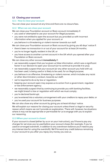## **12 Closing your account**

#### **12.1 How to close your account**

You can close your account at any time and there are no closure fees.

#### **12.2 When we can close your account**

We can close your Foundation account or Basic account immediately if:

- you used or attempted to use your account for illegal purposes;
- you were not entitled to open the account but you provided us with incorrect information when you applied for your account; or
- you behave in a threatening or violent manner towards our staff.

We can close your Foundation account or Basic account by giving you 60 days' notice if:

- there's been no transaction in or out of your account for at least 24 months;
- you're no longer legally resident in the UK; or
- you have access to another current account in the UK which you opened after your Foundation or Basic account.

We can close any other account **immediately** if:

- we reasonably suspect that you've given us false information, which was a significant factor in our decision to open your account (or to continue to provide it to you);
- we reasonably suspect that your account (or any other account you hold with us) has been used, is being used or is likely to be used, for an illegal purpose;
- you behave in an offensive, threatening or violent manner, which includes any racist or other discriminatory conduct, towards our staff;
- we're required to do so by law or regulation;
- keeping your account open may expose us to action from a government, regulator or law enforcement agency;
- we reasonably suspect that by continuing to provide you with banking facilities, we might breach a law or regulation with which we must comply;
- you're declared bankrupt;
- you've entered into a voluntary arrangement with your creditors to repay your debts; or
- you've used your account for business purposes.

We can also close any other account by giving you at least 60 days' notice.

We will explain our reasons for closing your account unless there's a legal or security reason which means we can't provide an explanation. There will, however, be situations where it may not be appropriate or permissible for us to engage with you to explain our reasoning.

#### **12.3 When your account is closed**

If your account is closed (either by us or on your instruction), you'll have to pay any charges for services you've used before your account closes (for example, if you've used an arranged overdraft, in addition to any overdrawn balance you'll need to pay any interest due for using the overdraft). We'll forward any credit balance remaining in your account to you after you repay any money you owe us.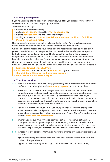# **13 Making a complaint**

If you're not completely happy with our service, we'd like you to let us know so that we can resolve your complaint as quickly as possible.

You can contact us by:

- visiting your nearest branch;
- calling **0800 151 0404** (Relay UK **18001 0800 404 6161**);
- visiting **[natwest.com](http://natwest.com)** and use our online form; or
- writing to us free post at **Customer Relations Manager, 1st Floor, 2 St Phillips Place, Birmingham B3 2RB**.

Our complaints process is set out in full in our leaflet *Let us fix it* which you can see online or request from one of our branches or telephone banking staff.

We'll do our best to respond to your complaint and resolve it as soon as we can but if you're not satisfied with our response then you may be able to refer your complaint to the Financial Ombudsman Service. The Financial Ombudsman Service is an independent organisation which tries to resolve complaints between customers and financial organisations where we've not been able to resolve the complaint ourselves.

Our response to your complaint will outline any deadlines you have to contact the Financial Ombudsman Service. The Financial Ombudsman Service can be contacted at:

- **Exchange Tower, London E14 9SR**;
- **0800 023 4567** (from a landline) or **0300 123 9123** (from a mobile);
- **[Complaint.info@financial-ombudsman.org.co.uk](mailto:Complaint.info%40financial-ombudsman.org.co.uk?subject=)**; or
- **[www.financial-ombudsman.org.uk](http://www.financial-ombudsman.org.uk)**

# **14 Your Information**

- **14.1** We are a member of NatWest Group ('NatWest'). For more information about other NatWest companies, please visit **[natwestgroup.com](http://natwestgroup.com)** or contact your branch.
- **14.2** We collect and process various categories of personal and financial information throughout your relationship with us, to allow us to provide our products and services and to run our business. This includes basic personal information such as your name and contact details, and information about your financial circumstances, your accounts and transactions. This section sets out how we may share your information with other NatWest companies and third parties.
- **14.3** For more information about how we use your personal information, the types of information we collect and process and the purposes for which we process personal information, please read our full privacy notice (our 'Privacy Notice') provided on our website **[www.natwest.com/privacy](http://www.natwest.com/privacy)**.
- **14.4** We may update our Privacy Notice from time to time, by communicating such changes to you and/or publishing the updated Privacy Notice on our website. We would encourage you to visit our website regularly to stay informed of the purposes for which we process your information and your rights to control how we process it.
- **14.5** In respect of any personal information relating to a third party that you provide to us, you must:
	- **a)** notify the third party that you are providing their personal information to us and obtain their permission;
	- **b)** provide the third party with a copy of our Privacy Notice and these Terms;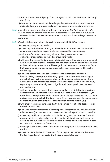- **c)** promptly notify the third party of any changes to our Privacy Notice that we notify you of; and
- **d)** ensure that, to the best of your knowledge, the personal information is accurate and up to date, and promptly notify us if you become aware that it is incorrect.
- **14.6** Your information may be shared with and used by other NatWest companies. We will only share your information where it is necessary for us to carry out our lawful business activities, or where it is necessary to comply with laws and regulations that apply to us.
- **14.7** We will not share your information with anyone outside NatWest except:
	- **a)** where we have your permission;
	- **b)** where required, whether directly or indirectly, for your product or service, which could include in relation to your welfare or accessibility requirements;
	- **c)** with law enforcement agencies, judicial bodies, government entities, tax authorities or regulatory trade bodies around the world;
	- **d)** with other banks and third parties in relation to fraud or financial crime or criminal activities; or in the event of suspected fraud or financial crime or criminal activities; or the monitoring, prevention and investigation of the same; to help recover funds that have entered your account as a result of a misdirected payment by such a third party;
	- **e)** with third parties providing services to us, such as market analysis and benchmarking, correspondent banking, agents and sub-contractors acting on our behalf, such as the companies which print our account statements, where advice or services are required or requested in connection with the bank's legal, regulatory or contractual rights or obligations relating to products or services provided to you;
	- **f)** with social media companies (in a secure format) or other third party advertisers and marketing companies so they can display or send relevant messages to you and others or compile information relevant to marketing to you about our products and services on our behalf. Third party advertisers may also use information about your previous web activity to tailor adverts which are displayed to you;
	- **g)** with credit reference agencies and with third parties in relation to debt collection and related activities;
	- **h)** with third party guarantors or other companies that provide you with benefits or other services (such as insurance cover) associated with your product or service;
	- **i)** where required for a proposed or actual sale, reorganisation, transfer, financial arrangement, asset disposal or other transaction relating to our business and/or assets held by our business. Where such data is shared with a third party it is done so under strict duties of confidentiality;
	- **j)** in anonymised form as part of statistics or other aggregated data shared with third parties; or
	- **k)** where permitted by law, it is necessary for our legitimate interests or those of a third party, and is not inconsistent with the purposes listed above.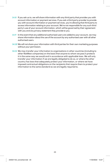- **14.8** If you ask us to, we will share information with any third party that provides you with account information or payment services. If you ask a third party provider to provide you with account information or payment services, you're allowing that third party to access information relating to your account. We're not responsible for any such third party's use of your account information, which will be governed by their agreement with you and any privacy statement they provide to you.
- **14.9** In the event that any additional authorised users are added to your account, we may share information about the use of the account by any authorised user with all other authorised users.
- **14.10** We will not share your information with third parties for their own marketing purposes without your permission.
- **14.11** We may transfer your information to organisations in other countries (including to other NatWest companies) on the basis that anyone to whom we pass it protects it in the same way we would and in accordance with applicable laws. We will only transfer your information if we are legally obligated to do so, or where the other country has laws that adequately protect your information, or where we have imposed contractual obligations on the recipients that require them to protect your information to the same standard as we are legally required to.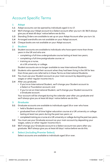# Account Specific Terms

# **1 Adapt**

- **1.1** Adapt accounts can be opened by individuals aged 11 to 17.
- **1.2** We'll change your Adapt account to a Select account after you turn 18. We'll always give you at least 60 days' notice before we do this.
- **1.3** Standing Orders are available to set up on your Adapt Account after you turn 16.
- **1.4** Arranged overdrafts are not available on your Adapt account.
- **1.5** Cheque books are not available on your Adapt account.

# **2 Student**

- **2.1** Student accounts are available to individuals who have spent more than three years in the UK and who are:
	- completing a full time undergraduate course lasting at least two years;
		- completing a full time postgraduate course; or
	- training as a nurse,

at a UK university or college.

Student accounts are no longer available to new International Students.

- **2.2** Students who opened their account when they had been living in the UK for less than three years are referred to in these Terms as International Students.
- **2.3** You must use your Student account as your main account by depositing your wages or other regular income into it.
- **2.4** After you graduate:
	- if you're an International Student, we'll change your Student account to a Select or Foundation account; and
	- if you're not an International Student, we'll change your Student account to a Graduate account.

 Your account will be changed during the calendar year after you graduate and we'll always give you at least 60 days' notice before we do this.

# **3 Graduate**

- **3.1** Graduate accounts are available to individuals aged 18 or over who have:
	- held a Student account;
	- graduated from a full time higher education course at a UK university or college lasting at least two years during the past two years; or
	- completed training as a nurse at a UK university or college during the past two years.
- **3.2** You must use your Graduate account as your main account by depositing your wages, salary or other regular income into it.
- **3.3** We'll change your Graduate account to a Select account two years after you graduate. We'll always give you at least 60 days' notice before we do this.

# **4 Select (including Premier Select)**

Select accounts are available to individuals aged 18 or over.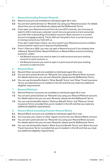# **5 Reward (including Premier Reward)**

- **5.1** Reward accounts are available to individuals aged 18 or over.
- **5.2** You can earn points (known as "Rewards") by using your Reward account. For details about how you can earn Rewards, please see the MyRewards Terms.
- **5.3** If you open your Reward account from 26 June 2017 onwards, you must pay at least £1,250 in total every calendar month into any personal current account(s) you hold with us (excluding a Foundation account, Basic account or a current account mortgage product). The £1,250 can't be paid in from a current account or savings account you hold with us.

 If you don't meet these criteria, we may convert your Reward account to a Select account (which means you'll stop earning Rewards).

- **5.4** From 1 February 2020, you may not open a Reward account if you already have a Reward, Reward Silver, Reward Platinum or Reward Black account ('existing account'), unless:
	- the Reward account you want to open is a sole account and your existing account is a joint account, or
	- the Reward account you want to open is a joint account and your existing account is a sole account.

# **6 Reward Silver**

- **6.1** Reward Silver accounts are available to individuals aged 18 or over.
- **6.2** You can earn points (known as "Rewards") by using your Reward Silver account. For details about how you can earn Rewards, please see the MyRewards Terms.
- **6.3** You can use the benefits listed in 'Silver Benefit Terms' and 'Silver Travel Insurance Terms' provided that you're resident in the UK and that you meet any additional eligibility requirements.

# **7 Reward Platinum**

- **7.1** Reward Platinum accounts are available to individuals aged 18 or over.
- **7.2** You can earn points (known as "Rewards") by using your Reward Platinum account. For details about how you can earn Rewards, please see the MyRewards Terms.
- **7.3** You can use the benefits listed in 'Platinum Benefit Terms' and 'Platinum Travel Insurance Terms' provided that you're resident in the UK and that you meet any additional eligibility requirements.

# **8 Reward Black (including Premier Reward Black)**

- **8.1** Reward Black accounts are available to individuals aged 18 or over.
- **8.2** You must pay your salary or other regular income into your Reward Black account.
- **8.3** You can earn points (known as "Rewards") by using your Reward Black account. For details about how you can earn Rewards, please see the MyRewards Terms.
- **8.4** You can use the benefits listed in 'Black Account Benefit Terms' and 'Black Account Travel Insurance Terms' provided that you're resident in the UK and that you meet any additional eligibility requirements.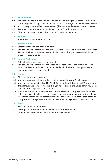### **9 Foundation**

- **9.1** Foundation accounts are only available to individuals aged 18 years or over who are not eligible for any other current account in our range due to their credit score.
- **9.2** You can only have one Foundation account (this can be a sole account or a joint account).
- **9.3** Arranged overdrafts are not available on your Foundation account.
- **9.4** Cheque books are not available on your Foundation account.

#### **10 Tailored**

Tailored accounts are not on sale.

#### **11 Select Silver**

- **11.1** Select Silver accounts are not on sale.
- **11.2** You can use the benefits listed in 'Silver Benefit Terms' and 'Silver Travel Insurance Terms' provided that you're resident in the UK and that you meet any additional eligibility requirements.

#### **12 Select Platinum**

- **12.1** Select Platinum accounts are not on sale.
- **12.2** You can use the benefits listed in 'Platinum Benefit Terms' and 'Platinum Travel Insurance Terms' provided that you're resident in the UK and that you meet any additional eligibility requirements.

#### **13 Black**

- 13.1 Black accounts are not on sale.
- **13.2** You must pay your salary or other regular income into your Black account.
- **13.3** You can use the benefits listed in 'Black Account Benefit Terms' and 'Black Account Travel Insurance Terms' provided that you're resident in the UK and that you meet any additional eligibility requirements.
- **13.4** If your Black account is closed any associated credit or charge card account will either be closed (in which case you must repay any amounts owed) or the balance will be transferred to an alternative credit or charge card. An associated credit or charge card is one you were able to apply for because you held a Black account.

#### **14 Basic**

- **14.1** Basic accounts are not on sale.
- **14.2** Arranged overdrafts are not available on your Basic account.
- **14.3** Cheque books are not available on your Basic account.